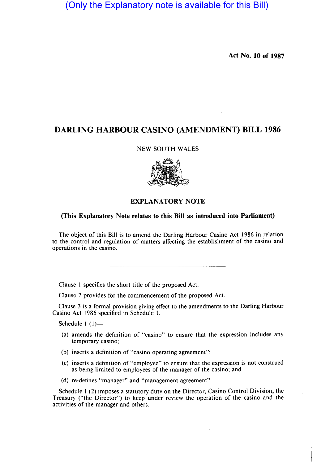(Only the Explanatory note is available for this Bill)

**Act** No. **10 of 1987** 

# **DARLING HARBOUR CASINO (AMENDMENT) BILL 1986**

### NEW SOUTH WALES



## **EXPLANATORY NOTE**

### **(This Explanatory Note relates to this Bill as introduced into Parliament)**

The object of this Bill is to amend the Darling Harbour Casino Act 1986 in relation to the control and regulation of matters affecting the establishment of the casino and operations in the casino.

Clause I specifies the short title of the proposed Act.

Clause 2 provides for the commencement of the proposed Act.

Clause 3 is a formal provision giving effect to the amendments to the Darling Harbour Casino Act 1986 specified in Schedule I.

Schedule  $1(1)$ --

- (a) amends the definition of "casino" to ensure that the expression includes any temporary casino;
- (b) inserts a definition of "casino operating agreement";
- (c) inserts a definition of "employee" to ensure that the expression is not construed as being limited to employees of the manager of the casino; and
- (d) re-defines "manager" and "management agreement".

Schedule  $1(2)$  imposes a statutory duty on the Director, Casino Control Division, the Treasury ("the Director") to keep under review the operation of the casino and the activities of the manager and others.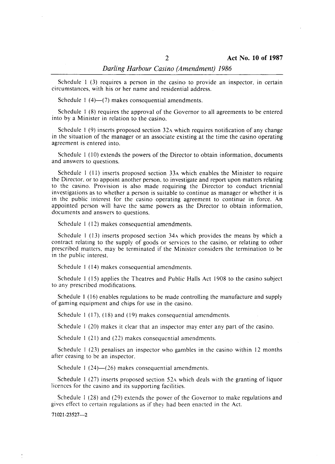#### *Darling Harbour Casino (Amendment) 1986*

Schedule  $1$  (3) requires a person in the casino to provide an inspector, in certain circumstances, with his or her name and residential address.

Schedule 1  $(4)$ — $(7)$  makes consequential amendments.

Schedule I (8) requires the approval of the Governor to all agreements to be entered into by a Minister in relation to the casino.

Schedule  $1$  (9) inserts proposed section 32A which requires notification of any change in the situation of the manager or an associate existing at the time the casino operating agreement is entered into.

Schedule I (10) extends the powers of the Director to obtain information, documents and answers to questions.

Schedule I (11) inserts proposed section 33A which enables the Minister to require the Director. or to appoint another person. to investigate and report upon matters relating to the casino. Provision is also made requiring the Director to conduct triennial investigations as to whether a person is suitable to continue as manager or whether it is in the public interest for the casino operating agreement to continue in force. An appointed person will have the same powers as the Director to obtain information, documents and answers to questions.

Schedule I (12) makes consequential amendments.

Schedule 1 (13) inserts proposed section  $34A$  which provides the means by which a contract relating to the supply of goods or services to the casino, or relating to other prescribed matters, may be terminated if the Minister considers the termination to be in the public interest.

Schedule I (14) makes consequential amendments.

Schedule I (15) applies the Theatres and Public Halls Act 1908 to the casino subject to any prescribed modifications.

Schedule I (16) enables regulations to be made controlling the manufacture and supply of gaming equipment and chips for use in the casino.

Schedule 1 (17), (18) and (19) makes consequential amendments.

Schedule 1 (20) makes it clear that an inspector may enter any part of the casino.

Schedule 1 (21) and (22) makes consequential amendments.

Schedule I (23) penalises an inspector who gambles in the casino within 12 months after ceasing to be an inspector.

Schedule 1  $(24)$ - $(26)$  makes consequential amendments.

Schedule I (27) inserts proposed section 52A which deals with the granting of liquor licences for the casino and its supporting facilities.

Schedule I (28) and (29) extends the power of the Governor to make regulations and gives effect to certain regulations as if they had been enacted in the Act.

71021-23527-2